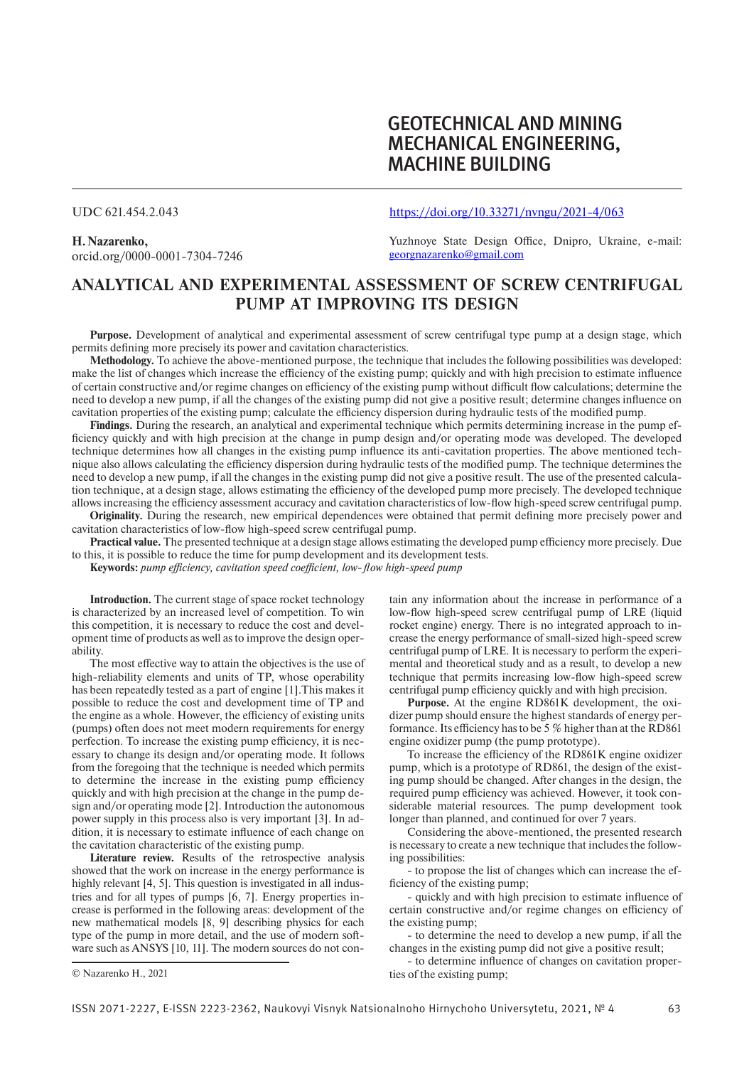# GEOTECHNICAL AND MINING MECHANICAL ENGINEERING, **MACHINE BUILDING**

### UDC 621.454.2.043

**H.Nazarenko,** orcid.org/0000-0001-7304-7246 https://doi.org/10.33271/nvngu/2021-4/063

Yuzhnoye State Design Office, Dnipro, Ukraine, e-mail: georgnazarenko@gmail.com

## **ANALYTICAL AND EXPERIMENTAL ASSESSMENT OF SCREW CENTRIFUGAL PUMP AT IMPROVING ITS DESIGN**

**Purpose.** Development of analytical and experimental assessment of screw centrifugal type pump at a design stage, which permits defining more precisely its power and cavitation characteristics.

**Methodology.** To achieve the above-mentioned purpose, the technique that includes the following possibilities was developed: make the list of changes which increase the efficiency of the existing pump; quickly and with high precision to estimate influence of certain constructive and/or regime changes on efficiency of the existing pump without difficult flow calculations; determine the need to develop a new pump, if all the changes of the existing pump did not give a positive result; determine changes influence on cavitation properties of the existing pump; calculate the efficiency dispersion during hydraulic tests of the modified pump.

**Findings.** During the research, an analytical and experimental technique which permits determining increase in the pump efficiency quickly and with high precision at the change in pump design and/or operating mode was developed. The developed technique determines how all changes in the existing pump influence its anti-cavitation properties. The above mentioned technique also allows calculating the efficiency dispersion during hydraulic tests of the modified pump. The technique determines the need to develop a new pump, if all the changes in the existing pump did not give a positive result. The use of the presented calculation technique, at a design stage, allows estimating the efficiency of the developed pump more precisely. The developed technique allows increasing the efficiency assessment accuracy and cavitation characteristics of low-flow high-speed screw centrifugal pump.

**Originality.** During the research, new empirical dependences were obtained that permit defining more precisely power and cavitation characteristics of low-flow high-speed screw centrifugal pump.

**Practical value.** The presented technique at a design stage allows estimating the developed pump efficiency more precisely. Due to this, it is possible to reduce the time for pump development and its development tests.

**Keywords:** *pump efficiency, cavitation speed coefficient, low-flow high-speed pump*

**Introduction.** The current stage of space rocket technology is characterized by an increased level of competition. To win this competition, it is necessary to reduce the cost and development time of products as well as to improve the design operability.

The most effective way to attain the objectives is the use of high-reliability elements and units of TP, whose operability has been repeatedly tested as a part of engine [1].This makes it possible to reduce the cost and development time of TP and the engine as a whole. However, the efficiency of existing units (pumps) often does not meet modern requirements for energy perfection. To increase the existing pump efficiency, it is necessary to change its design and/or operating mode. It follows from the foregoing that the technique is needed which permits to determine the increase in the existing pump efficiency quickly and with high precision at the change in the pump design and/or operating mode [2]. Introduction the autonomous power supply in this process also is very important [3]. In addition, it is necessary to estimate influence of each change on the cavitation characteristic of the existing pump.

**Literature review.** Results of the retrospective analysis showed that the work on increase in the energy performance is highly relevant [4, 5]. This question is investigated in all industries and for all types of pumps [6, 7]. Energy properties increase is performed in the following areas: development of the new mathematical models [8, 9] describing physics for each type of the pump in more detail, and the use of modern software such as ANSYS [10, 11]. The modern sources do not con-

tain any information about the increase in performance of a low-flow high-speed screw centrifugal pump of LRE (liquid rocket engine) energy. There is no integrated approach to increase the energy performance of small-sized high-speed screw centrifugal pump of LRE. It is necessary to perform the experimental and theoretical study and as a result, to develop a new technique that permits increasing low-flow high-speed screw centrifugal pump efficiency quickly and with high precision.

**Purpose.** At the engine RD861K development, the oxidizer pump should ensure the highest standards of energy performance. Its efficiency has to be 5 % higher than at the RD861 engine oxidizer pump (the pump prototype).

To increase the efficiency of the RD861K engine oxidizer pump, which is a prototype of RD861, the design of the existing pump should be changed. After changes in the design, the required pump efficiency was achieved. However, it took considerable material resources. The pump development took longer than planned, and continued for over 7 years.

Considering the above-mentioned, the presented research is necessary to create a new technique that includes the following possibilities:

- to propose the list of changes which can increase the efficiency of the existing pump;

- quickly and with high precision to estimate influence of certain constructive and/or regime changes on efficiency of the existing pump;

- to determine the need to develop a new pump, if all the changes in the existing pump did not give a positive result;

- to determine influence of changes on cavitation properties of the existing pump;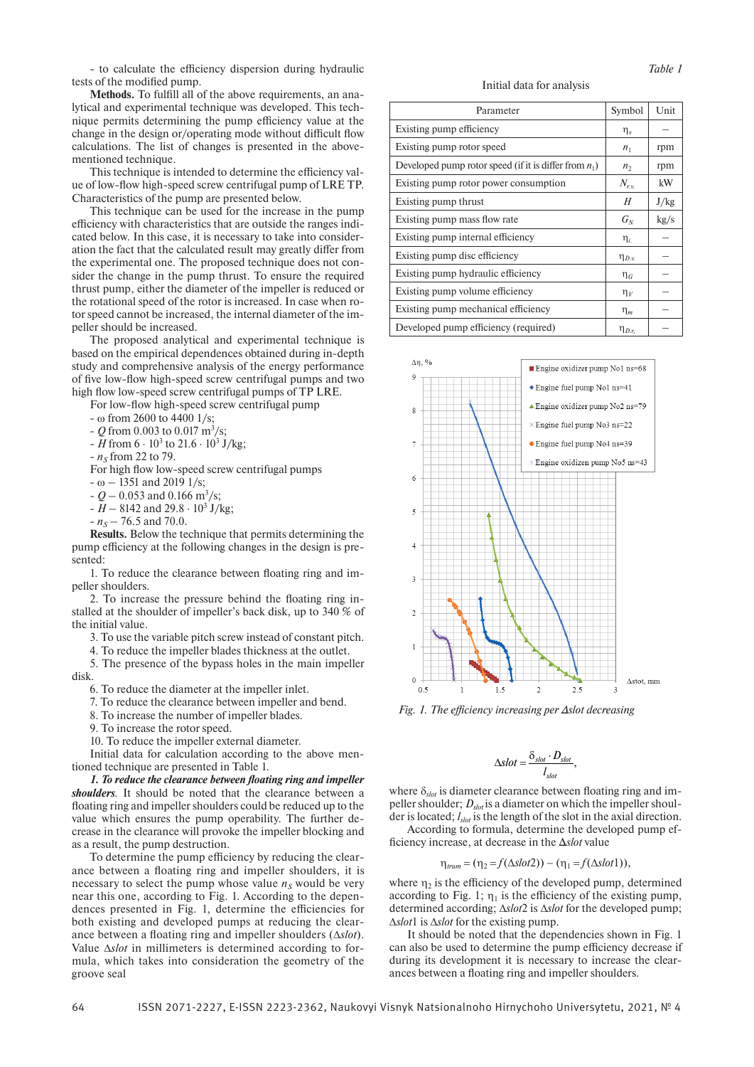- to calculate the efficiency dispersion during hydraulic tests of the modified pump.

**Methods.** To fulfill all of the above requirements, an analytical and experimental technique was developed. This technique permits determining the pump efficiency value at the change in the design or/operating mode without difficult flow calculations. The list of changes is presented in the abovementioned technique.

This technique is intended to determine the efficiency value of low-flow high-speed screw centrifugal pump of LRE TP. Characteristics of the pump are presented below.

This technique can be used for the increase in the pump efficiency with characteristics that are outside the ranges indicated below. In this case, it is necessary to take into consideration the fact that the calculated result may greatly differ from the experimental one. The proposed technique does not consider the change in the pump thrust. To ensure the required thrust pump, either the diameter of the impeller is reduced or the rotational speed of the rotor is increased. In case when rotor speed cannot be increased, the internal diameter of the impeller should be increased.

The proposed analytical and experimental technique is based on the empirical dependences obtained during in-depth study and comprehensive analysis of the energy performance of five low-flow high-speed screw centrifugal pumps and two high flow low-speed screw centrifugal pumps of TP LRE.

For low-flow high-speed screw centrifugal pump

- ω from 2600 to 4400 1/s;

- *Q* from 0.003 to 0.017 m3 /s;
- $-H$  from  $6 \cdot 10^3$  to  $21.6 \cdot 10^3$  J/kg;
- $n<sub>S</sub>$  from 22 to 79.
- For high flow low-speed screw centrifugal pumps
- ω 1351 and 2019 1/s;
- $-Q 0.053$  and 0.166 m<sup>3</sup>/s;
- *Н* 8142 and 29.8 ⋅ 103 J/kg;
- $-n<sub>S</sub> 76.5$  and 70.0.

**Results.** Below the technique that permits determining the pump efficiency at the following changes in the design is presented:

1. To reduce the clearance between floating ring and impeller shoulders.

2. To increase the pressure behind the floating ring installed at the shoulder of impeller's back disk, up to 340 % of the initial value.

3. To use the variable pitch screw instead of constant pitch.

4. To reduce the impeller blades thickness at the outlet.

5. The presence of the bypass holes in the main impeller disk.

6. To reduce the diameter at the impeller inlet.

- 7. To reduce the clearance between impeller and bend.
- 8. To increase the number of impeller blades.
- 9. To increase the rotor speed.
- 10. To reduce the impeller external diameter.

Initial data for calculation according to the above mentioned technique are presented in Table 1.

*1. To reduce the clearance between floating ring and impeller shoulders.* It should be noted that the clearance between a floating ring and impeller shoulders could be reduced up to the value which ensures the pump operability. The further decrease in the clearance will provoke the impeller blocking and as a result, the pump destruction.

To determine the pump efficiency by reducing the clearance between a floating ring and impeller shoulders, it is necessary to select the pump whose value  $n<sub>S</sub>$  would be very near this one, according to Fig. 1. According to the dependences presented in Fig. 1, determine the efficiencies for both existing and developed pumps at reducing the clearance between a floating ring and impeller shoulders (Δ*slot*). Value Δ*slot* in millimeters is determined according to formula, which takes into consideration the geometry of the groove seal

#### Initial data for analysis

| Parameter                                                | Symbol         | Unit |
|----------------------------------------------------------|----------------|------|
| Existing pump efficiency                                 | $\eta_{\nu}$   |      |
| Existing pump rotor speed                                | n <sub>1</sub> | rpm  |
| Developed pump rotor speed (if it is differ from $n_1$ ) | n <sub>2</sub> | rpm  |
| Existing pump rotor power consumption                    | $N_{r.v.}$     | kW   |
| Existing pump thrust                                     | H              | J/kg |
| Existing pump mass flow rate                             | $G_N$          | kg/s |
| Existing pump internal efficiency                        | $\eta_{i.}$    |      |
| Existing pump disc efficiency                            | $\eta_{D.v.}$  |      |
| Existing pump hydraulic efficiency                       | $\eta_G$       |      |
| Existing pump volume efficiency                          | $\eta_V$       |      |
| Existing pump mechanical efficiency                      | $\eta_m$       |      |
| Developed pump efficiency (required)                     | $\eta_{D,r}$   |      |



*Fig. 1. The efficiency increasing per Δslot decreasing*

$$
\Delta slot = \frac{\delta_{slot} \cdot D_{slot}}{l_{slot}},
$$

where  $\delta_{slot}$  is diameter clearance between floating ring and impeller shoulder;  $D_{s\omega t}$  is a diameter on which the impeller shoulder is located; *lslot* is the length of the slot in the axial direction. According to formula, determine the developed pump ef-

ficiency increase, at decrease in the Δ*slot* value

$$
\eta_{trum} = (\eta_2 = f(\Delta slot2)) - (\eta_1 = f(\Delta slot1)),
$$

where  $\eta_2$  is the efficiency of the developed pump, determined according to Fig. 1;  $\eta_1$  is the efficiency of the existing pump, determined according; Δ*slot*2 is Δ*slot* for the developed pump; Δ*slot*1 is Δ*slot* for the existing pump.

It should be noted that the dependencies shown in Fig. 1 can also be used to determine the pump efficiency decrease if during its development it is necessary to increase the clearances between a floating ring and impeller shoulders.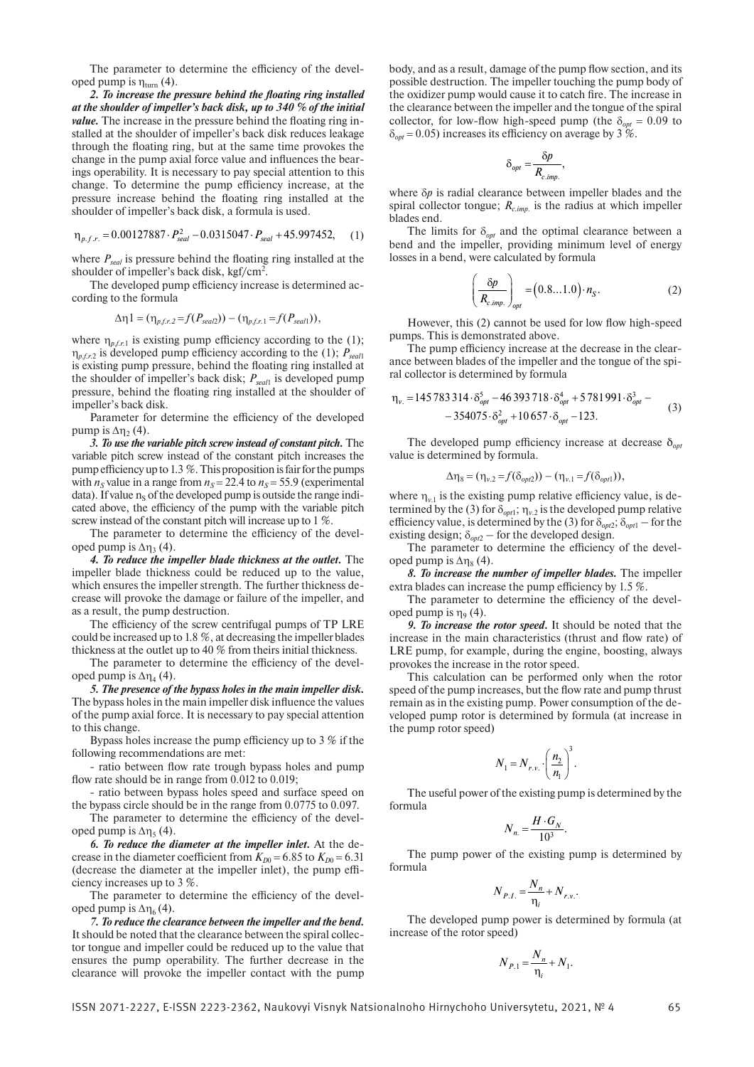The parameter to determine the efficiency of the developed pump is  $\eta_{\text{turn}}(4)$ .

*2. To increase the pressure behind the floating ring installed at the shoulder of impeller's back disk, up to 340 % of the initial value*. The increase in the pressure behind the floating ring installed at the shoulder of impeller's back disk reduces leakage through the floating ring, but at the same time provokes the change in the pump axial force value and influences the bearings operability. It is necessary to pay special attention to this change. To determine the pump efficiency increase, at the pressure increase behind the floating ring installed at the shoulder of impeller's back disk, a formula is used.

$$
\eta_{p.f.r.} = 0.00127887 \cdot P_{\text{seal}}^2 - 0.0315047 \cdot P_{\text{seal}} + 45.997452,\qquad(1)
$$

where  $P_{\text{seed}}$  is pressure behind the floating ring installed at the shoulder of impeller's back disk, kgf/cm $^2$ .

The developed pump efficiency increase is determined according to the formula

$$
\Delta \eta 1 = (\eta_{p,f,r,2} = f(P_{\text{seal2}})) - (\eta_{p,f,r,1} = f(P_{\text{seal1}})),
$$

where  $\eta_{n,\ell,r}$  is existing pump efficiency according to the (1); η*p.f.r.*2 is developed pump efficiency according to the (1); *Рseal*<sup>1</sup> is existing pump pressure, behind the floating ring installed at the shoulder of impeller's back disk; *Рseal*1 is developed pump pressure, behind the floating ring installed at the shoulder of impeller's back disk.

Parameter for determine the efficiency of the developed pump is  $\Delta$ η<sub>2</sub> (4).

*3. To use the variable pitch screw instead of constant pitch.* The variable pitch screw instead of the constant pitch increases the pump efficiency up to 1.3 %. This proposition is fair for the pumps with  $n<sub>S</sub>$  value in a range from  $n<sub>S</sub> = 22.4$  to  $n<sub>S</sub> = 55.9$  (experimental data). If value  $n<sub>s</sub>$  of the developed pump is outside the range indicated above, the efficiency of the pump with the variable pitch screw instead of the constant pitch will increase up to 1 %.

The parameter to determine the efficiency of the developed pump is  $Δη_3(4)$ .

*4. To reduce the impeller blade thickness at the outlet.* The impeller blade thickness could be reduced up to the value, which ensures the impeller strength. The further thickness decrease will provoke the damage or failure of the impeller, and as a result, the pump destruction.

The efficiency of the screw centrifugal pumps of TP LRE could be increased up to 1.8 %, at decreasing the impeller blades thickness at the outlet up to 40 % from theirs initial thickness.

The parameter to determine the efficiency of the developed pump is  $\Delta \eta_4$  (4).

*5. The presence of the bypass holes in the main impeller disk.*  The bypass holes in the main impeller disk influence the values of the pump axial force. It is necessary to pay special attention to this change.

Bypass holes increase the pump efficiency up to 3 % if the following recommendations are met:

- ratio between flow rate trough bypass holes and pump flow rate should be in range from 0.012 to 0.019;

- ratio between bypass holes speed and surface speed on the bypass circle should be in the range from 0.0775 to 0.097.

The parameter to determine the efficiency of the developed pump is  $\Delta \eta_5$  (4).

*6. To reduce the diameter at the impeller inlet.* At the decrease in the diameter coefficient from  $K_{D0} = 6.85$  to  $K_{D0} = 6.31$ (decrease the diameter at the impeller inlet), the pump efficiency increases up to 3 %.

The parameter to determine the efficiency of the developed pump is  $\Delta \eta_6$  (4).

*7. To reduce the clearance between the impeller and the bend.*  It should be noted that the clearance between the spiral collector tongue and impeller could be reduced up to the value that ensures the pump operability. The further decrease in the clearance will provoke the impeller contact with the pump body, and as a result, damage of the pump flow section, and its possible destruction. The impeller touching the pump body of the oxidizer pump would cause it to catch fire. The increase in the clearance between the impeller and the tongue of the spiral collector, for low-flow high-speed pump (the  $\delta_{opt} = 0.09$  to  $\delta_{\text{opt}}$  = 0.05) increases its efficiency on average by 3 %.

$$
\delta_{opt} = \frac{\delta p}{R_{c.imp.}},
$$

where δ*p* is radial clearance between impeller blades and the spiral collector tongue;  $R_{c,imp}$  is the radius at which impeller blades end.

The limits for  $\delta_{opt}$  and the optimal clearance between a bend and the impeller, providing minimum level of energy losses in a bend, were calculated by formula

$$
\left(\frac{\delta p}{R_{c\,imp.}}\right)_{opt} = (0.8...1.0) \cdot n_S. \tag{2}
$$

However, this (2) cannot be used for low flow high-speed pumps. This is demonstrated above.

The pump efficiency increase at the decrease in the clearance between blades of the impeller and the tongue of the spiral collector is determined by formula

$$
\eta_{v.} = 145783314 \cdot \delta_{opt}^{5} - 46393718 \cdot \delta_{opt}^{4} + 5781991 \cdot \delta_{opt}^{3} - 354075 \cdot \delta_{opt}^{2} + 10657 \cdot \delta_{opt} - 123.
$$
\n(3)

The developed pump efficiency increase at decrease  $\delta_{opt}$ value is determined by formula.

$$
\Delta \eta_8 = (\eta_{\nu.2} = f(\delta_{opt2})) - (\eta_{\nu.1} = f(\delta_{opt1})),
$$

where  $\eta_{v,1}$  is the existing pump relative efficiency value, is determined by the (3) for  $\delta_{opt1}$ ;  $\eta_{v,2}$  is the developed pump relative efficiency value, is determined by the (3) for  $\delta_{opt2}$ ;  $\delta_{opt1}$  – for the existing design;  $\delta_{opt2}$  – for the developed design.

The parameter to determine the efficiency of the developed pump is  $\Delta \eta_8$  (4).

*8. To increase the number of impeller blades.* The impeller extra blades can increase the pump efficiency by 1.5 %.

The parameter to determine the efficiency of the developed pump is  $\eta_9$  (4).

*9. To increase the rotor speed***.** It should be noted that the increase in the main characteristics (thrust and flow rate) of LRE pump, for example, during the engine, boosting, always provokes the increase in the rotor speed.

This calculation can be performed only when the rotor speed of the pump increases, but the flow rate and pump thrust remain as in the existing pump. Power consumption of the developed pump rotor is determined by formula (at increase in the pump rotor speed)

$$
N_1 = N_{r.v.} \cdot \left(\frac{n_2}{n_1}\right)^3.
$$

The useful power of the existing pump is determined by the formula

$$
N_{n} = \frac{H \cdot G_N}{10^3}.
$$

The pump power of the existing pump is determined by formula

$$
N_{P.I.} = \frac{N_n}{\eta_i} + N_{r.v.}.
$$

The developed pump power is determined by formula (at increase of the rotor speed)

$$
N_{P.1} = \frac{N_n}{\eta_i} + N_1.
$$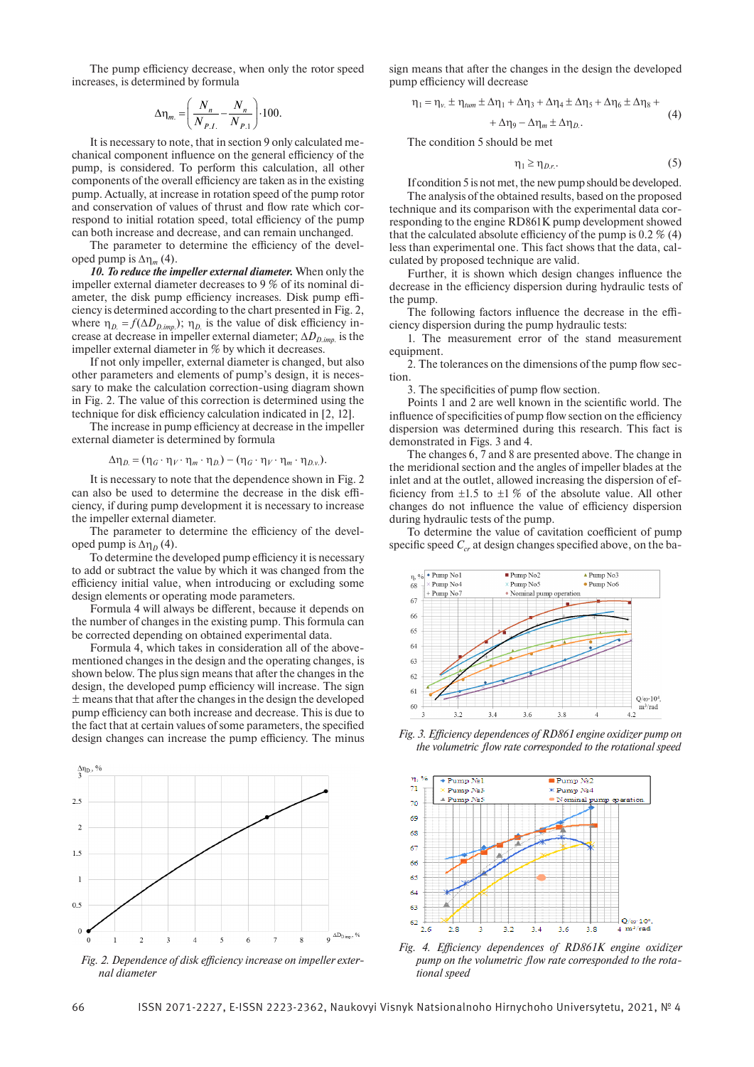The pump efficiency decrease, when only the rotor speed increases, is determined by formula

$$
\Delta \eta_m = \left(\frac{N_n}{N_{P.I.}} - \frac{N_n}{N_{P.1}}\right) \cdot 100.
$$

It is necessary to note, that in section 9 only calculated mechanical component influence on the general efficiency of the pump, is considered. To perform this calculation, all other components of the overall efficiency are taken as in the existing pump. Actually, at increase in rotation speed of the pump rotor and conservation of values of thrust and flow rate which correspond to initial rotation speed, total efficiency of the pump can both increase and decrease, and can remain unchanged.

The parameter to determine the efficiency of the developed pump is  $\Delta \eta_m$  (4).

*10. To reduce the impeller external diameter.* When only the impeller external diameter decreases to 9 % of its nominal diameter, the disk pump efficiency increases. Disk pump efficiency is determined according to the chart presented in Fig. 2, where  $\eta_D = f(\Delta D_{D,imp.})$ ;  $\eta_D$  is the value of disk efficiency increase at decrease in impeller external diameter;  $\Delta D_{D,imp}$  is the impeller external diameter in % by which it decreases.

If not only impeller, external diameter is changed, but also other parameters and elements of pump's design, it is necessary to make the calculation correction-using diagram shown in Fig. 2. The value of this correction is determined using the technique for disk efficiency calculation indicated in [2, 12].

The increase in pump efficiency at decrease in the impeller external diameter is determined by formula

$$
\Delta \eta_D = (\eta_G \cdot \eta_V \cdot \eta_m \cdot \eta_D) - (\eta_G \cdot \eta_V \cdot \eta_m \cdot \eta_{D.v}).
$$

It is necessary to note that the dependence shown in Fig. 2 can also be used to determine the decrease in the disk efficiency, if during pump development it is necessary to increase the impeller external diameter.

The parameter to determine the efficiency of the developed pump is  $\Delta \eta_D$  (4).

To determine the developed pump efficiency it is necessary to add or subtract the value by which it was changed from the efficiency initial value, when introducing or excluding some design elements or operating mode parameters.

Formula 4 will always be different, because it depends on the number of changes in the existing pump. This formula can be corrected depending on obtained experimental data.

Formula 4, which takes in consideration all of the abovementioned changes in the design and the operating changes, is shown below. The plus sign means that after the changes in the design, the developed pump efficiency will increase. The sign  $±$  means that that after the changes in the design the developed pump efficiency can both increase and decrease. This is due to the fact that at certain values of some parameters, the specified design changes can increase the pump efficiency. The minus



*Fig. 2. Dependence of disk efficiency increase on impeller external diameter*

sign means that after the changes in the design the developed pump efficiency will decrease

$$
\eta_1 = \eta_v \pm \eta_{\text{tum}} \pm \Delta \eta_1 + \Delta \eta_3 + \Delta \eta_4 \pm \Delta \eta_5 + \Delta \eta_6 \pm \Delta \eta_8 +
$$
\n(4)

$$
+\Delta\eta_9 - \Delta\eta_m \pm \Delta\eta_{D}.\tag{4}
$$

The condition 5 should be met

$$
\eta_1 \ge \eta_{D.r.}.\tag{5}
$$

If condition 5 is not met, the new pump should be developed. The analysis of the obtained results, based on the proposed technique and its comparison with the experimental data corresponding to the engine RD861K pump development showed that the calculated absolute efficiency of the pump is 0.2 % (4) less than experimental one. This fact shows that the data, calculated by proposed technique are valid.

Further, it is shown which design changes influence the decrease in the efficiency dispersion during hydraulic tests of the pump.

The following factors influence the decrease in the efficiency dispersion during the pump hydraulic tests:

1. The measurement error of the stand measurement equipment.

2. The tolerances on the dimensions of the pump flow section.

3. The specificities of pump flow section.

Points 1 and 2 are well known in the scientific world. The influence of specificities of pump flow section on the efficiency dispersion was determined during this research. This fact is demonstrated in Figs. 3 and 4.

The changes 6, 7 and 8 are presented above. The change in the meridional section and the angles of impeller blades at the inlet and at the outlet, allowed increasing the dispersion of efficiency from  $\pm 1.5$  to  $\pm 1\%$  of the absolute value. All other changes do not influence the value of efficiency dispersion during hydraulic tests of the pump.

To determine the value of cavitation coefficient of pump specific speed  $C_{cr}$  at design changes specified above, on the ba-



*Fig. 3. Efficiency dependences of RD861 engine oxidizer pump on the volumetric flow rate corresponded to the rotational speed*



*Fig. 4. Efficiency dependences of RD861K engine oxidizer pump on the volumetric flow rate corresponded to the rotational speed*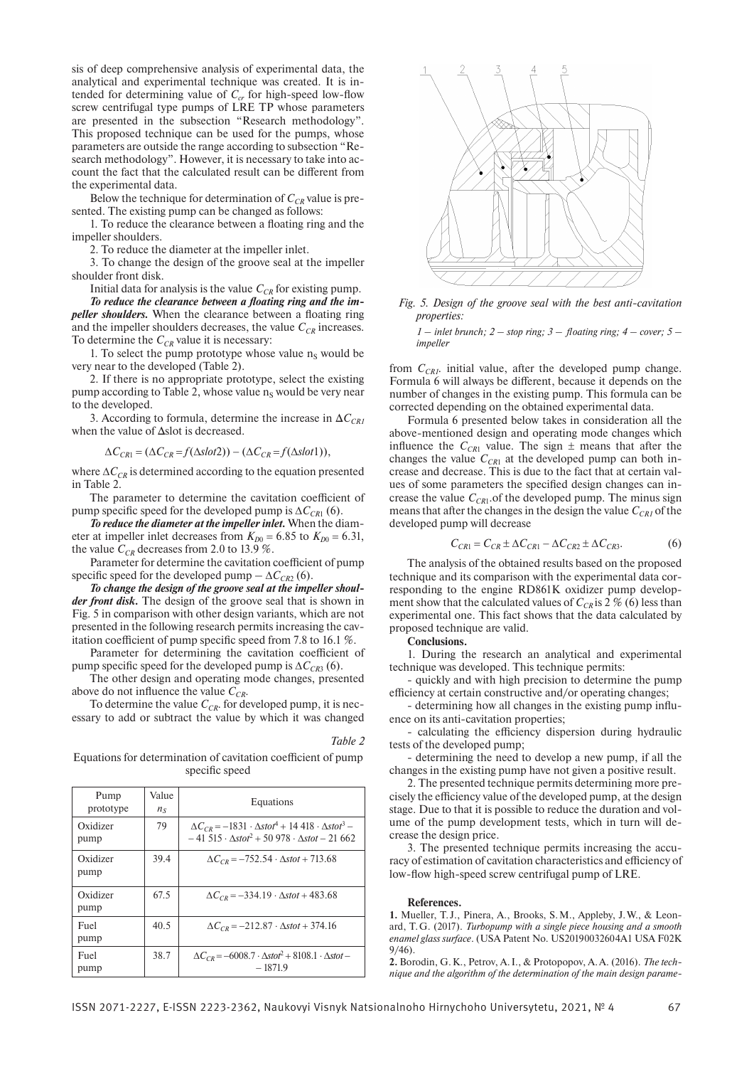sis of deep comprehensive analysis of experimental data, the analytical and experimental technique was created. It is intended for determining value of  $C_{cr}$  for high-speed low-flow screw centrifugal type pumps of LRE TP whose parameters are presented in the subsection "Research methodology". This proposed technique can be used for the pumps, whose parameters are outside the range according to subsection "Research methodology". However, it is necessary to take into account the fact that the calculated result can be different from the experimental data.

Below the technique for determination of  $C_{CR}$  value is presented. The existing pump can be changed as follows:

1. To reduce the clearance between a floating ring and the impeller shoulders.

2. To reduce the diameter at the impeller inlet.

3. To change the design of the groove seal at the impeller shoulder front disk.

Initial data for analysis is the value  $C_{CR}$  for existing pump.

*To reduce the clearance between a floating ring and the impeller shoulders.* When the clearance between a floating ring and the impeller shoulders decreases, the value  $C_{CR}$  increases. To determine the  $C_{CR}$  value it is necessary:

1. To select the pump prototype whose value  $n<sub>S</sub>$  would be very near to the developed (Table 2).

2. If there is no appropriate prototype, select the existing pump according to Table 2, whose value  $n<sub>S</sub>$  would be very near to the developed.

3. According to formula, determine the increase in  $\Delta C_{CRI}$ when the value of Δslot is decreased.

 $\Delta C_{CR1} = (\Delta C_{CR} = f(\Delta slot2)) - (\Delta C_{CR} = f(\Delta slot1)),$ 

where  $\Delta C_{CR}$  is determined according to the equation presented in Table 2.

The parameter to determine the cavitation coefficient of pump specific speed for the developed pump is  $\Delta C_{CR1}$  (6).

*To reduce the diameter at the impeller inlet.* When the diameter at impeller inlet decreases from  $K_{D0} = 6.85$  to  $K_{D0} = 6.31$ , the value  $C_{CR}$  decreases from 2.0 to 13.9 %.

Parameter for determine the cavitation coefficient of pump specific speed for the developed pump  $-\Delta C_{CR2}$  (6).

*To change the design of the groove seal at the impeller shoulder front disk.* The design of the groove seal that is shown in Fig. 5 in comparison with other design variants, which are not presented in the following research permits increasing the cavitation coefficient of pump specific speed from 7.8 to 16.1 %.

Parameter for determining the cavitation coefficient of pump specific speed for the developed pump is  $\Delta C_{CR3}$  (6).

The other design and operating mode changes, presented above do not influence the value  $C_{CR}$ .

To determine the value  $C_{CR}$  for developed pump, it is necessary to add or subtract the value by which it was changed

*Table 2*

Equations for determination of cavitation coefficient of pump specific speed

| Pump<br>prototype | Value<br>$n_{\rm S}$ | Equations                                                                                                                                   |
|-------------------|----------------------|---------------------------------------------------------------------------------------------------------------------------------------------|
| Oxidizer<br>pump  | 79                   | $\Delta C_{CR} = -1831 \cdot \Delta stot^4 + 14418 \cdot \Delta stot^3 -$<br>$-41515 \cdot \Delta stot^2 + 50978 \cdot \Delta stot - 21662$ |
| Oxidizer<br>pump  | 39.4                 | $\Delta C_{CR} = -752.54 \cdot \Delta stot + 713.68$                                                                                        |
| Oxidizer<br>pump  | 67.5                 | $\Delta C_{CP} = -334.19 \cdot \Delta stot + 483.68$                                                                                        |
| Fuel<br>pump      | 40.5                 | $\Delta C_{CR} = -212.87 \cdot \Delta stot + 374.16$                                                                                        |
| Fuel<br>pump      | 38.7                 | $\Delta C_{CR} = -6008.7 \cdot \Delta s \omega^2 + 8108.1 \cdot \Delta s \omega^2$<br>$-1871.9$                                             |



*Fig. 5. Design of the groove seal with the best anti-cavitation properties:*

*1* – *inlet brunch;*  $2 - stop ring$ ;  $3 - floating ring$ ;  $4 - cover$ ;  $5$ *impeller*

from  $C_{CRI}$ . initial value, after the developed pump change. Formula 6 will always be different, because it depends on the number of changes in the existing pump. This formula can be corrected depending on the obtained experimental data.

Formula 6 presented below takes in consideration all the above-mentioned design and operating mode changes which influence the  $C_{CR1}$  value. The sign  $\pm$  means that after the changes the value  $C_{CR1}$  at the developed pump can both increase and decrease. This is due to the fact that at certain values of some parameters the specified design changes can increase the value  $C_{CR1}$  of the developed pump. The minus sign means that after the changes in the design the value  $C_{CRI}$  of the developed pump will decrease

$$
C_{CR1} = C_{CR} \pm \Delta C_{CR1} - \Delta C_{CR2} \pm \Delta C_{CR3}.
$$
 (6)

The analysis of the obtained results based on the proposed technique and its comparison with the experimental data corresponding to the engine RD861K oxidizer pump development show that the calculated values of  $C_{CR}$  is 2 % (6) less than experimental one. This fact shows that the data calculated by proposed technique are valid.

**Conclusions.**

1. During the research an analytical and experimental technique was developed. This technique permits:

- quickly and with high precision to determine the pump efficiency at certain constructive and/or operating changes;

- determining how all changes in the existing pump influence on its anti-cavitation properties;

calculating the efficiency dispersion during hydraulic tests of the developed pump;

- determining the need to develop a new pump, if all the changes in the existing pump have not given a positive result.

2. The presented technique permits determining more precisely the efficiency value of the developed pump, at the design stage. Due to that it is possible to reduce the duration and volume of the pump development tests, which in turn will decrease the design price.

3. The presented technique permits increasing the accuracy of estimation of cavitation characteristics and efficiency of low-flow high-speed screw centrifugal pump of LRE.

#### **References.**

**1.** Mueller, T. J., Pinera, A., Brooks, S.M., Appleby, J.W., & Leonard, T.G. (2017). *Turbopump with a single piece housing and a smooth enamel glass surface*. (USA Patent No. US20190032604A1 USA F02K 9/46).

**2.** Borodin, G.К., Petrov, A.I., & Protopopov, А.А. (2016). *The technique and the algorithm of the determination of the main design parame-*